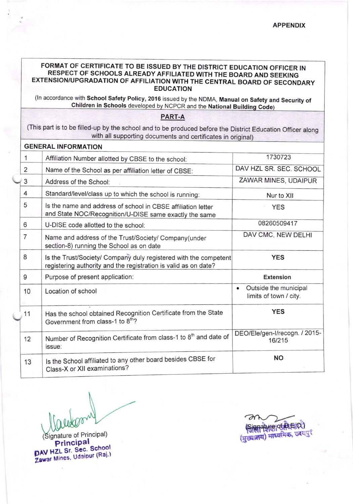## FORMAT OF CERTIFICATE TO BE ISSUED BY THE DISTRICT EDUCATION OFFICER IN RESPECT OF SCHOOLS ALREADY AFFILIATED WITH THE BOARD AND SEEKING EXTENSION/UPGRADATION OF AFFILIATION WITH THE CENTRAL BOARD OF SECONDARY **EDUCATION**

(In accordance with School Safety Policy, 2016 issued by the NDMA, Manual on Safety and Security of Children in Schools developed by NCPCR and the National Building Code)

## PART-A

(This part is to be filled-up by the school and to be produced before the District Education Officer along with all supporting documents and certificates in original)

|                | <b>ULIVERAL INFURMATION</b>                                                                                                         |                                                 |
|----------------|-------------------------------------------------------------------------------------------------------------------------------------|-------------------------------------------------|
| $\mathbf{1}$   | Affiliation Number allotted by CBSE to the school:                                                                                  | 1730723                                         |
| 2              | Name of the School as per affiliation letter of CBSE:                                                                               | DAV HZL SR. SEC. SCHOOL                         |
| 3              | Address of the School:                                                                                                              | ZAWAR MINES, UDAIPUR                            |
| 4              | Standard/level/class up to which the school is running:                                                                             | Nur to XII                                      |
| 5              | Is the name and address of school in CBSE affiliation letter<br>and State NOC/Recognition/U-DISE same exactly the same              | <b>YES</b>                                      |
| 6              | U-DISE code allotted to the school:                                                                                                 | 08260509417                                     |
| $\overline{7}$ | Name and address of the Trust/Society/ Company(under<br>section-8) running the School as on date                                    | DAV CMC, NEW DELHI                              |
| 8              | Is the Trust/Society/ Company duly registered with the competent<br>registering authority and the registration is valid as on date? | <b>YES</b>                                      |
| 9              | Purpose of present application:                                                                                                     | <b>Extension</b>                                |
| 10             | Location of school                                                                                                                  | Outside the municipal<br>limits of town / city. |
| 11             | Has the school obtained Recognition Certificate from the State<br>Government from class-1 to 8 <sup>th</sup> ?                      | <b>YES</b>                                      |
| 12             | Number of Recognition Certificate from class-1 to 8 <sup>th</sup> and date of<br>issue:                                             | DEO/Ele/gen-I/recogn. / 2015-<br>16/215         |
| 13             | Is the School affiliated to any other board besides CBSE for<br>Class-X or XII examinations?                                        | <b>NO</b>                                       |

 $I$ 

Signature of Principal) Principal DAV HZL Sr. Sec. School Zawar Mines, Udaipur (Raj.)

natyre of PLE O (मुख्यालय) माध्यमिक, उदयपुर